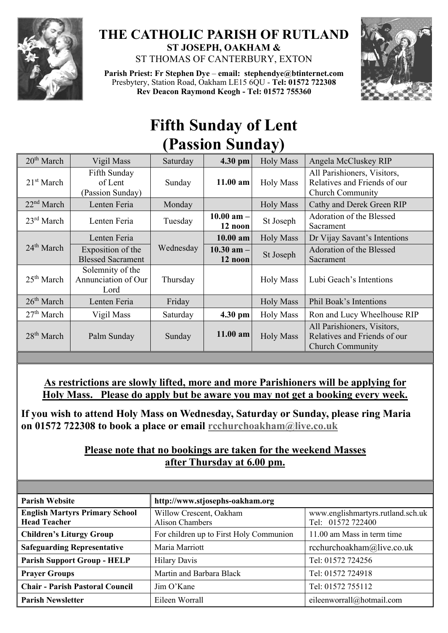

## **THE CATHOLIC PARISH OF RUTLAND ST JOSEPH, OAKHAM &**  ST THOMAS OF CANTERBURY, EXTON

**Parish Priest: Fr Stephen Dye** – **[email: stephendye@btinternet.com](mailto:email:%20%20stephendye@btinternet.com)** Presbytery, Station Road, Oakham LE15 6QU - **Tel: 01572 722308 Rev Deacon Raymond Keogh - Tel: 01572 755360**



## **Fifth Sunday of Lent (Passion Sunday)**

| 20 <sup>th</sup> March | Vigil Mass                                      | Saturday  | $4.30$ pm                 | <b>Holy Mass</b> | Angela McCluskey RIP                                                                   |
|------------------------|-------------------------------------------------|-----------|---------------------------|------------------|----------------------------------------------------------------------------------------|
| 21 <sup>st</sup> March | Fifth Sunday<br>of Lent<br>(Passion Sunday)     | Sunday    | 11.00 am                  | <b>Holy Mass</b> | All Parishioners, Visitors,<br>Relatives and Friends of our<br><b>Church Community</b> |
| 22 <sup>nd</sup> March | Lenten Feria                                    | Monday    |                           | <b>Holy Mass</b> | Cathy and Derek Green RIP                                                              |
| $23^{\rm rd}$ March    | Lenten Feria                                    | Tuesday   | $10.00$ am $-$<br>12 noon | St Joseph        | Adoration of the Blessed<br>Sacrament                                                  |
|                        | Lenten Feria                                    |           | $10.00$ am                | <b>Holy Mass</b> | Dr Vijay Savant's Intentions                                                           |
| $24th$ March           | Exposition of the<br><b>Blessed Sacrament</b>   | Wednesday | 10.30 am $-$<br>12 noon   | St Joseph        | Adoration of the Blessed<br>Sacrament                                                  |
| 25 <sup>th</sup> March | Solemnity of the<br>Annunciation of Our<br>Lord | Thursday  |                           | <b>Holy Mass</b> | Lubi Geach's Intentions                                                                |
| 26 <sup>th</sup> March | Lenten Feria                                    | Friday    |                           | <b>Holy Mass</b> | Phil Boak's Intentions                                                                 |
| 27 <sup>th</sup> March | Vigil Mass                                      | Saturday  | 4.30 pm                   | <b>Holy Mass</b> | Ron and Lucy Wheelhouse RIP                                                            |
| 28 <sup>th</sup> March | Palm Sunday                                     | Sunday    | $11.00$ am                | <b>Holy Mass</b> | All Parishioners, Visitors,<br>Relatives and Friends of our<br><b>Church Community</b> |

**As restrictions are slowly lifted, more and more Parishioners will be applying for Holy Mass. Please do apply but be aware you may not get a booking every week.**

**If you wish to attend Holy Mass on Wednesday, Saturday or Sunday, please ring Maria on 01572 722308 to book a place or email [rcchurchoakham@live.co.uk](mailto:rcchurchoakham@live.co.uk)**

## **Please note that no bookings are taken for the weekend Masses after Thursday at 6.00 pm.**

| <b>Parish Website</b>                                        | http://www.stjosephs-oakham.org                   |                                                        |
|--------------------------------------------------------------|---------------------------------------------------|--------------------------------------------------------|
| <b>English Martyrs Primary School</b><br><b>Head Teacher</b> | Willow Crescent, Oakham<br><b>Alison Chambers</b> | www.englishmartyrs.rutland.sch.uk<br>Tel: 01572 722400 |
| <b>Children's Liturgy Group</b>                              | For children up to First Holy Communion           | 11.00 am Mass in term time                             |
| <b>Safeguarding Representative</b>                           | Maria Marriott                                    | rcchurchoakham@live.co.uk                              |
| <b>Parish Support Group - HELP</b>                           | <b>Hilary Davis</b>                               | Tel: 01572 724256                                      |
| <b>Prayer Groups</b>                                         | Martin and Barbara Black                          | Tel: 01572 724918                                      |
| <b>Chair - Parish Pastoral Council</b>                       | Jim O'Kane                                        | Tel: 01572 755112                                      |
| Parish Newsletter                                            | Eileen Worrall                                    | eileenworrall@hotmail.com                              |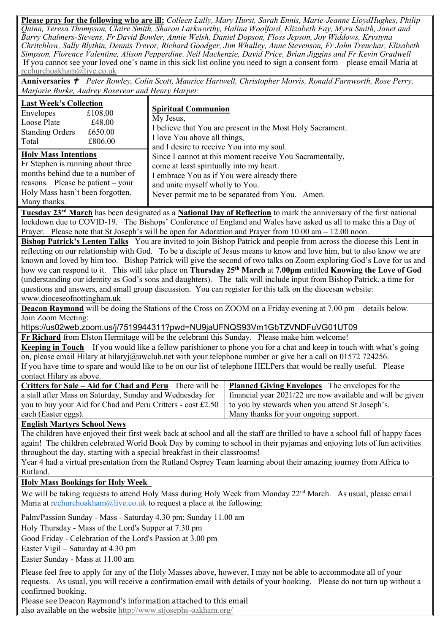**Please pray for the following who are ill:** *Colleen Lully, Mary Hurst, Sarah Ennis, Marie-Jeanne LloydHughes, Philip Quinn, Teresa Thompson, Claire Smith, Sharon Larkworthy, Halina Woolford, Elizabeth Fay, Myra Smith, Janet and Barry Chalmers-Stevens, Fr David Bowler, Annie Welsh, Daniel Dopson, Floss Jepson, Joy Widdows, Krystyna Chritchlow, Sally Blythin, Dennis Trevor, Richard Goodger, Jim Whalley, Anne Stevenson, Fr John Trenchar, Elisabeth Simpson, Florence Valentine, Alison Pepperdine. Neil Mackenzie, David Price, Brian Jiggins and Fr Kevin Gradwell*  If you cannot see your loved one's name in this sick list online you need to sign a consent form – please email Maria at [rcchurchoakham@live.co.uk](mailto:rcchurchoakham@live.co.uk)

**Anniversaries**  *Peter Rowley, Colin Scott, Maurice Hartwell, Christopher Morris, Ronald Farnworth, Rose Perry, Marjorie Burke, Audrey Rosevear and Henry Harper*

| <b>Last Week's Collection</b><br>Envelopes<br>£108.00<br>Loose Plate<br>£48.00<br><b>Standing Orders</b><br>£650.00<br>£806.00<br>Total                                                         | <b>Spiritual Communion</b><br>My Jesus,<br>I believe that You are present in the Most Holy Sacrament.<br>I love You above all things,<br>and I desire to receive You into my soul.                                                       |
|-------------------------------------------------------------------------------------------------------------------------------------------------------------------------------------------------|------------------------------------------------------------------------------------------------------------------------------------------------------------------------------------------------------------------------------------------|
| <b>Holy Mass Intentions</b><br>Fr Stephen is running about three<br>months behind due to a number of<br>reasons. Please be patient $-$ your<br>Holy Mass hasn't been forgotten.<br>Many thanks. | Since I cannot at this moment receive You Sacramentally,<br>come at least spiritually into my heart.<br>I embrace You as if You were already there<br>and unite myself wholly to You.<br>Never permit me to be separated from You. Amen. |

**Tuesday 23rd March** has been designated as a **National Day of Reflection** to mark the anniversary of the first national lockdown due to COVID-19. The Bishops' Conference of England and Wales have asked us all to make this a Day of Prayer. Please note that St Joseph's will be open for Adoration and Prayer from 10.00 am – 12.00 noon.

**Bishop Patrick's Lenten Talks** You are invited to join Bishop Patrick and people from across the diocese this Lent in reflecting on our relationship with God. To be a disciple of Jesus means to know and love him, but to also know we are known and loved by him too. Bishop Patrick will give the second of two talks on Zoom exploring God's Love for us and how we can respond to it. This will take place on **Thursday 25th March** at **7.00pm** entitled **Knowing the Love of God** (understanding our identity as God's sons and daughters). The talk will include input from Bishop Patrick, a time for questions and answers, and small group discussion. You can register for this talk on the diocesan website: www.dioceseofnottingham.uk

**Deacon Raymond** will be doing the Stations of the Cross on ZOOM on a Friday evening at 7.00 pm – details below. Join Zoom Meeting:

https://us02web.zoom.us/j/7519944311?pwd=NU9jaUFNQS93Vm1GbTZVNDFuVG01UT09

**Fr Richard** from Elston Hermitage will be the celebrant this Sunday. Please make him welcome!

**Keeping in Touch** If you would like a fellow parishioner to phone you for a chat and keep in touch with what's going on, please email Hilary at hilaryj@uwclub.net with your telephone number or give her a call on 01572 724256. If you have time to spare and would like to be on our list of telephone HELPers that would be really useful. Please contact Hilary as above.

| Critters for Sale – Aid for Chad and Peru There will be $\vert$ Planned Giving Envelopes The envelopes for the        |                                       |  |  |
|-----------------------------------------------------------------------------------------------------------------------|---------------------------------------|--|--|
| a stall after Mass on Saturday, Sunday and Wednesday for   financial year 2021/22 are now available and will be given |                                       |  |  |
| you to buy your Aid for Chad and Peru Critters - cost £2.50 $\mid$ to you by stewards when you attend St Joseph's.    |                                       |  |  |
| each (Easter eggs).                                                                                                   | Many thanks for your ongoing support. |  |  |

**English Martyrs School News**

The children have enjoyed their first week back at school and all the staff are thrilled to have a school full of happy faces again! The children celebrated World Book Day by coming to school in their pyjamas and enjoying lots of fun activities throughout the day, starting with a special breakfast in their classrooms!

Year 4 had a virtual presentation from the Rutland Osprey Team learning about their amazing journey from Africa to Rutland.

## **Holy Mass Bookings for Holy Week**

We will be taking requests to attend Holy Mass during Holy Week from Monday 22<sup>nd</sup> March. As usual, please email Maria at [rcchurchoakham@live.co.uk](mailto:rcchurchoakham@live.co.uk) to request a place at the following:

Palm/Passion Sunday - Mass - Saturday 4.30 pm; Sunday 11.00 am

Holy Thursday - Mass of the Lord's Supper at 7.30 pm

Good Friday - Celebration of the Lord's Passion at 3.00 pm

Easter Vigil – Saturday at 4.30 pm

Easter Sunday - Mass at 11.00 am

Please feel free to apply for any of the Holy Masses above, however, I may not be able to accommodate all of your requests. As usual, you will receive a confirmation email with details of your booking. Please do not turn up without a confirmed booking.

Please see Deacon Raymond's information attached to this email also available on the website<http://www.stjosephs-oakham.org/>